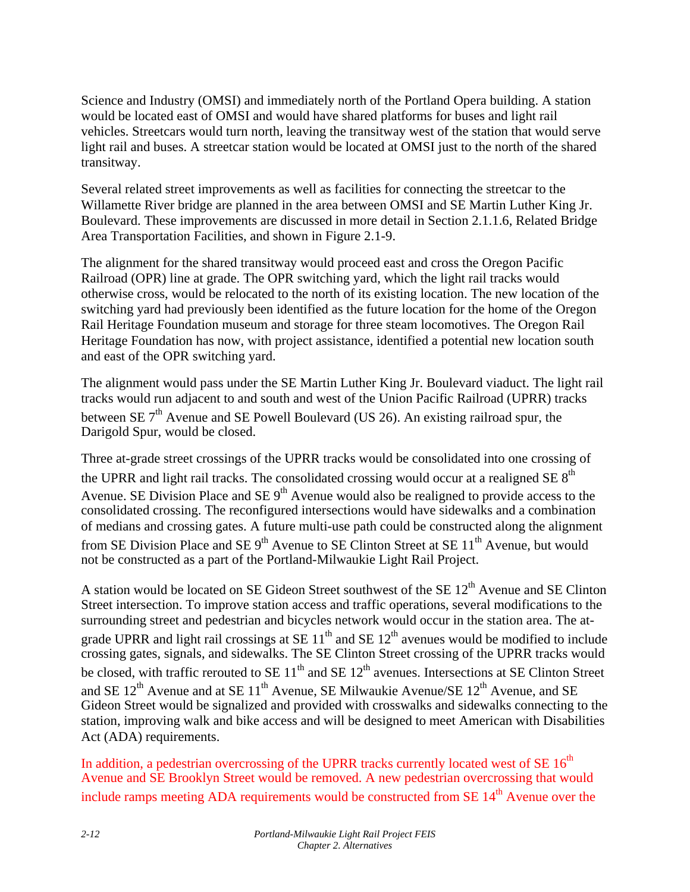Science and Industry (OMSI) and immediately north of the Portland Opera building. A station would be located east of OMSI and would have shared platforms for buses and light rail vehicles. Streetcars would turn north, leaving the transitway west of the station that would serve light rail and buses. A streetcar station would be located at OMSI just to the north of the shared transitway.

Several related street improvements as well as facilities for connecting the streetcar to the Willamette River bridge are planned in the area between OMSI and SE Martin Luther King Jr. Boulevard. These improvements are discussed in more detail in Section 2.1.1.6, Related Bridge Area Transportation Facilities, and shown in Figure 2.1-9.

The alignment for the shared transitway would proceed east and cross the Oregon Pacific Railroad (OPR) line at grade. The OPR switching yard, which the light rail tracks would otherwise cross, would be relocated to the north of its existing location. The new location of the switching yard had previously been identified as the future location for the home of the Oregon Rail Heritage Foundation museum and storage for three steam locomotives. The Oregon Rail Heritage Foundation has now, with project assistance, identified a potential new location south and east of the OPR switching yard.

The alignment would pass under the SE Martin Luther King Jr. Boulevard viaduct. The light rail tracks would run adjacent to and south and west of the Union Pacific Railroad (UPRR) tracks between SE  $7<sup>th</sup>$  Avenue and SE Powell Boulevard (US 26). An existing railroad spur, the Darigold Spur, would be closed.

Three at-grade street crossings of the UPRR tracks would be consolidated into one crossing of the UPRR and light rail tracks. The consolidated crossing would occur at a realigned SE  $8<sup>th</sup>$ Avenue. SE Division Place and SE  $9<sup>th</sup>$  Avenue would also be realigned to provide access to the consolidated crossing. The reconfigured intersections would have sidewalks and a combination of medians and crossing gates. A future multi-use path could be constructed along the alignment from SE Division Place and SE  $9<sup>th</sup>$  Avenue to SE Clinton Street at SE  $11<sup>th</sup>$  Avenue, but would not be constructed as a part of the Portland-Milwaukie Light Rail Project.

A station would be located on SE Gideon Street southwest of the SE 12<sup>th</sup> Avenue and SE Clinton Street intersection. To improve station access and traffic operations, several modifications to the surrounding street and pedestrian and bicycles network would occur in the station area. The atgrade UPRR and light rail crossings at SE  $11<sup>th</sup>$  and SE  $12<sup>th</sup>$  avenues would be modified to include crossing gates, signals, and sidewalks. The SE Clinton Street crossing of the UPRR tracks would be closed, with traffic rerouted to SE  $11<sup>th</sup>$  and SE  $12<sup>th</sup>$  avenues. Intersections at SE Clinton Street and SE  $12^{th}$  Avenue and at SE  $11^{th}$  Avenue, SE Milwaukie Avenue/SE  $12^{th}$  Avenue, and SE Gideon Street would be signalized and provided with crosswalks and sidewalks connecting to the station, improving walk and bike access and will be designed to meet American with Disabilities Act (ADA) requirements.

In addition, a pedestrian overcrossing of the UPRR tracks currently located west of SE  $16<sup>th</sup>$ Avenue and SE Brooklyn Street would be removed. A new pedestrian overcrossing that would include ramps meeting ADA requirements would be constructed from SE  $14<sup>th</sup>$  Avenue over the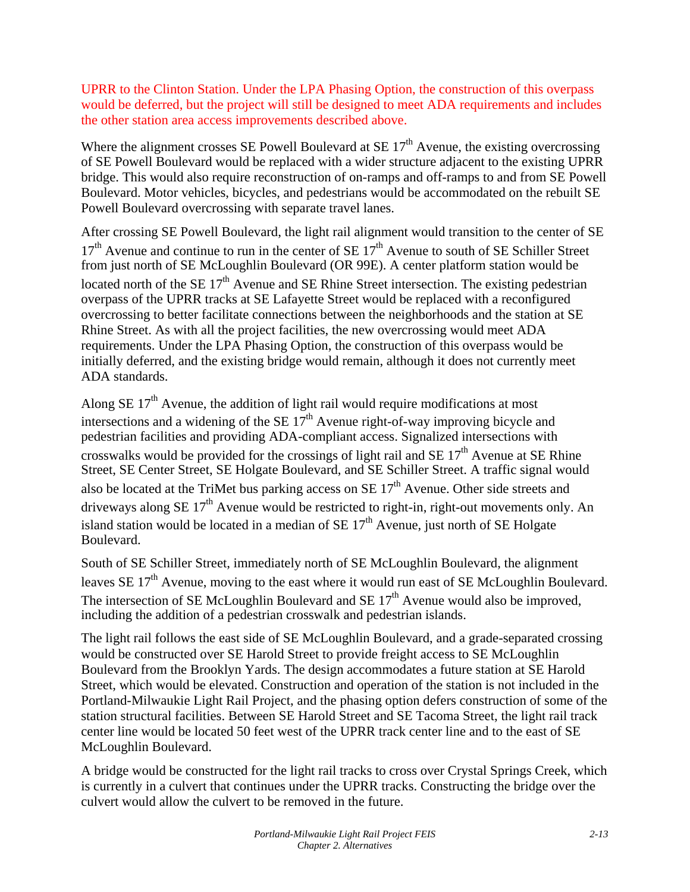UPRR to the Clinton Station. Under the LPA Phasing Option, the construction of this overpass would be deferred, but the project will still be designed to meet ADA requirements and includes the other station area access improvements described above.

Where the alignment crosses SE Powell Boulevard at SE  $17<sup>th</sup>$  Avenue, the existing overcrossing of SE Powell Boulevard would be replaced with a wider structure adjacent to the existing UPRR bridge. This would also require reconstruction of on-ramps and off-ramps to and from SE Powell Boulevard. Motor vehicles, bicycles, and pedestrians would be accommodated on the rebuilt SE Powell Boulevard overcrossing with separate travel lanes.

After crossing SE Powell Boulevard, the light rail alignment would transition to the center of SE  $17<sup>th</sup>$  Avenue and continue to run in the center of SE  $17<sup>th</sup>$  Avenue to south of SE Schiller Street from just north of SE McLoughlin Boulevard (OR 99E). A center platform station would be located north of the SE  $17<sup>th</sup>$  Avenue and SE Rhine Street intersection. The existing pedestrian overpass of the UPRR tracks at SE Lafayette Street would be replaced with a reconfigured overcrossing to better facilitate connections between the neighborhoods and the station at SE Rhine Street. As with all the project facilities, the new overcrossing would meet ADA requirements. Under the LPA Phasing Option, the construction of this overpass would be initially deferred, and the existing bridge would remain, although it does not currently meet ADA standards.

Along SE  $17<sup>th</sup>$  Avenue, the addition of light rail would require modifications at most intersections and a widening of the SE  $17<sup>th</sup>$  Avenue right-of-way improving bicycle and pedestrian facilities and providing ADA-compliant access. Signalized intersections with crosswalks would be provided for the crossings of light rail and SE  $17<sup>th</sup>$  Avenue at SE Rhine Street, SE Center Street, SE Holgate Boulevard, and SE Schiller Street. A traffic signal would also be located at the TriMet bus parking access on  $SE 17<sup>th</sup>$  Avenue. Other side streets and driveways along  $SE 17<sup>th</sup>$  Avenue would be restricted to right-in, right-out movements only. An island station would be located in a median of  $SE 17<sup>th</sup>$  Avenue, just north of  $SE$  Holgate Boulevard.

South of SE Schiller Street, immediately north of SE McLoughlin Boulevard, the alignment leaves SE 17<sup>th</sup> Avenue, moving to the east where it would run east of SE McLoughlin Boulevard. The intersection of SE McLoughlin Boulevard and SE  $17<sup>th</sup>$  Avenue would also be improved, including the addition of a pedestrian crosswalk and pedestrian islands.

The light rail follows the east side of SE McLoughlin Boulevard, and a grade-separated crossing would be constructed over SE Harold Street to provide freight access to SE McLoughlin Boulevard from the Brooklyn Yards. The design accommodates a future station at SE Harold Street, which would be elevated. Construction and operation of the station is not included in the Portland-Milwaukie Light Rail Project, and the phasing option defers construction of some of the station structural facilities. Between SE Harold Street and SE Tacoma Street, the light rail track center line would be located 50 feet west of the UPRR track center line and to the east of SE McLoughlin Boulevard.

A bridge would be constructed for the light rail tracks to cross over Crystal Springs Creek, which is currently in a culvert that continues under the UPRR tracks. Constructing the bridge over the culvert would allow the culvert to be removed in the future.